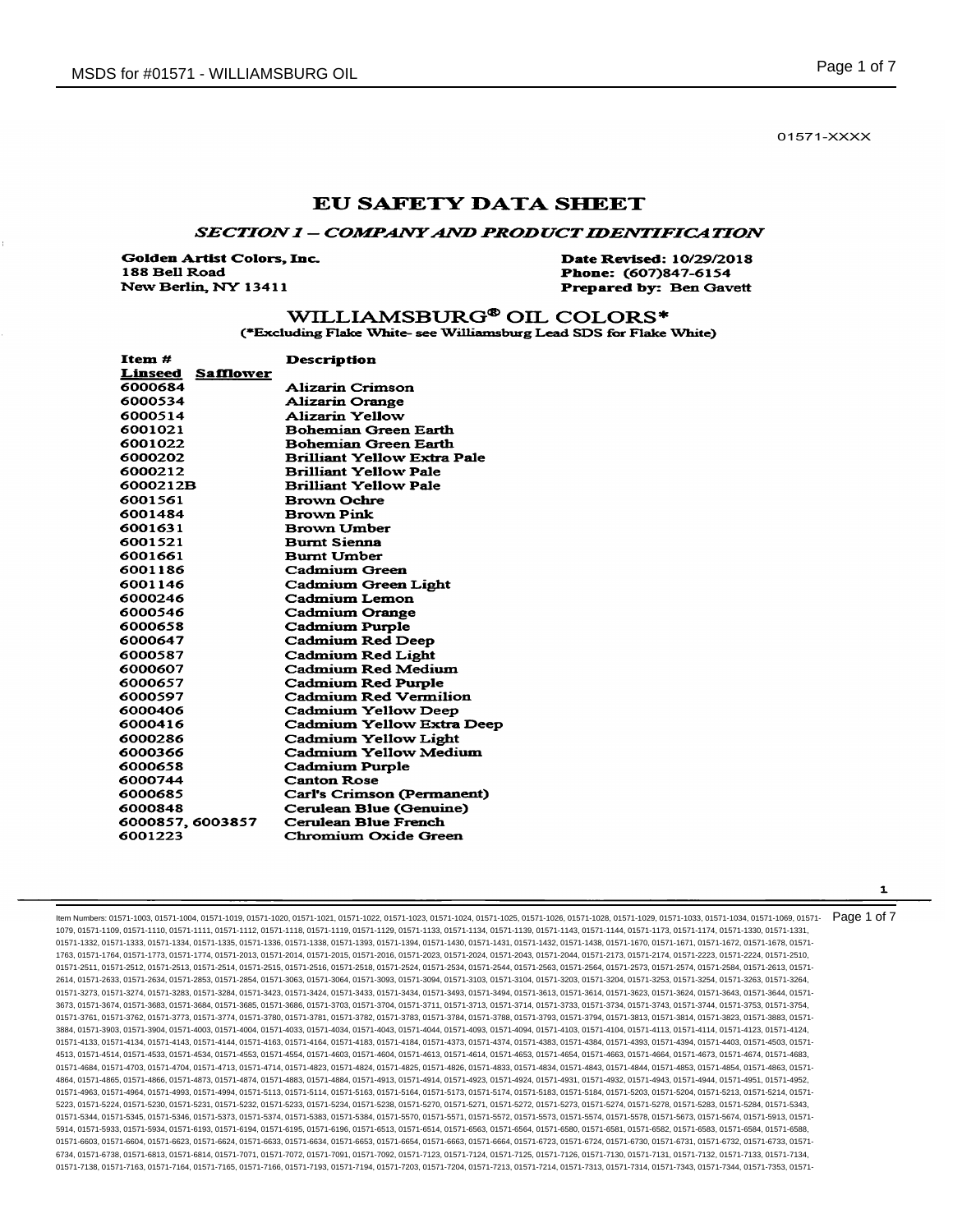01571-XXXX

# **EU SAFETY DATA SHEET**

## SECTION 1 - COMPANY AND PRODUCT IDENTIFICATION

**Golden Artist Colors, Inc.** 188 Bell Road New Berlin, NY 13411

Date Revised: 10/29/2018 Phone: (607)847-6154 **Prepared by: Ben Gavett** 

## WILLIAMSBURG<sup>®</sup> OIL COLORS\* (\*Excluding Flake White- see Williamsburg Lead SDS for Flake White)

| Item#                              | <b>Description</b>                 |
|------------------------------------|------------------------------------|
| <b>Linseed</b><br><b>Safflower</b> |                                    |
| 6000684                            | Alizarin Crimson                   |
| 6000534                            | <b>Alizarin Orange</b>             |
| 6000514                            | Alizarin Yellow                    |
| 6001021                            | <b>Bohemian Green Earth</b>        |
| 6001022                            | <b>Bohemian Green Earth</b>        |
| 6000202                            | <b>Brilliant Yellow Extra Pale</b> |
| 6000212                            | <b>Brilliant Yellow Pale</b>       |
| 6000212B                           | <b>Brilliant Yellow Pale</b>       |
| 6001561                            | <b>Brown Ochre</b>                 |
| 6001484                            | <b>Brown Pink</b>                  |
| 6001631                            | <b>Brown Umber</b>                 |
| 6001521                            | <b>Burnt Sienna</b>                |
| 6001661                            | <b>Burnt Umber</b>                 |
| 6001186                            | Cadmium Green                      |
| 6001146                            | <b>Cadmium Green Light</b>         |
| 6000246                            | Cadmium Lemon                      |
| 6000546                            | <b>Cadmium Orange</b>              |
| 6000658                            | <b>Cadmium Purple</b>              |
| 6000647                            | <b>Cadmium Red Deep</b>            |
| 6000587                            | <b>Cadmium Red Light</b>           |
| 6000607                            | Cadmium Red Medium                 |
| 6000657                            | <b>Cadmium Red Purple</b>          |
| 6000597                            | <b>Cadmium Red Vermilion</b>       |
| 6000406                            | <b>Cadmium Yellow Deep</b>         |
| 6000416                            | Cadmium Yellow Extra Deep          |
| 6000286                            | <b>Cadmium Yellow Light</b>        |
| 6000366                            | Cadmium Yellow Medium              |
| 6000658                            | Cadmium Purple                     |
| 6000744                            | <b>Canton Rose</b>                 |
| 6000685                            | Carl's Crimson (Permanent)         |
| 6000848                            | Cerulean Blue (Genuine)            |
| 6000857, 6003857                   | Cerulean Blue French               |
| 6001223                            | Chromium Oxide Green               |

ltem Numbers: 01571-1003, 01571-1004, 01571-1019, 01571-1020, 01571-1021, 01571-1022, 01571-1023, 01571-1024, 01571-1026, 01571-1028, 01571-1028, 01571-1023, 01571-1023, 01571-1023, 01571-1034, 01571-1039, 01571-1039, 0157 1079, 01571-1109, 01571-1110, 01571-1111, 01571-1112, 01571-1118, 01571-1119, 01571-1129, 01571-1133, 01571-1134, 01571-1139, 01571-1143, 01571-1144, 01571-1173, 01571-1174, 01571-1330, 01571-1331, 01571-1332, 01571-1333, 01571-1334, 01571-1335, 01571-1336, 01571-1338, 01571-1393, 01571-1394, 01571-1430, 01571-1431, 01571-1432, 01571-1438, 01571-1670, 01571-1671, 01571-1672, 01571-1670, 01571-1672, 01571-1678, 01571-1763, 01571-1764, 01571-1773, 01571-1774, 01571-2013, 01571-2014, 01571-2015, 01571-2016, 01571-2023, 01571-2024, 01571-2043, 01571-2044, 01571-2173, 01571-2174, 01571-2223, 01571-2224, 01571-2510, 01571-2511, 01571-2512, 01571-2513, 01571-2514, 01571-2515, 01571-2516, 01571-2518, 01571-2524, 01571-2534, 01571-2544, 01571-2563, 01571-2564, 01571-2573, 01571-2574, 01571-2584, 01571-2613, 01571- 2614, 01571-2633, 01571-2634, 01571-2853, 01571-2854, 01571-3063, 01571-3064, 01571-3093, 01571-3094, 01571-3103, 01571-3104, 01571-3203, 01571-3204, 01571-3253, 01571-3254, 01571-3263, 01571-3264, 01571-3273, 01571-3274, 01571-3283, 01571-3284, 01571-3434, 01571-3433, 01571-3434, 01571-3494, 01571-3643, 01571-3614, 01571-3623, 01571-3624, 01571-3643, 01571-3644, 01571-3623, 01571-3623, 01571-3643, 01571-3643, 01571-3 3673, 01571-3674, 01571-3683, 01571-3684, 01571-3685, 01571-3686, 01571-3703, 01571-3704, 01571-3711, 01571-3713, 01571-3714, 01571-3733, 01571-3734, 01571-3743, 01571-3744, 01571-3753, 01571-3754, 01571-3761, 01571-3762, 01571-3773, 01571-3774, 01571-3780, 01571-3781, 01571-3782, 01571-3783, 01571-3784, 01571-3788, 01571-3793, 01571-3794, 01571-3813, 01571-3814, 01571-3823, 01571-3883, 01571- 3884, 01571-3903, 01571-3904, 01571-4003, 01571-4004, 01571-4033, 01571-4034, 01571-4043, 01571-4044, 01571-4093, 01571-4094, 01571-4103, 01571-4104, 01571-4113, 01571-4114, 01571-4123, 01571-4124, 01571-4133, 01571-4134, 01571-4143, 01571-4144, 01571-4163, 01571-4164, 01571-4183, 01571-4184, 01571-4373, 01571-4374, 01571-4383, 01571-4384, 01571-4393, 01571-4394, 01571-4403, 01571-4503, 01571- 4513, 01571-4514, 01571-4533, 01571-4534, 01571-4553, 01571-4554, 01571-4603, 01571-4604, 01571-4613, 01571-4614, 01571-4653, 01571-4654, 01571-4663, 01571-4664, 01571-4673, 01571-4674, 01571-4683, 01571-4684, 01571-4703, 01571-4704, 01571-4713, 01571-4714, 01571-4823, 01571-4824, 01571-4825, 01571-4826, 01571-4833, 01571-4834, 01571-4843, 01571-4844, 01571-4853, 01571-4854, 01571-4863, 01571- 4864, 01571-4865, 01571-4866, 01571-4873, 01571-4874, 01571-4883, 01571-4884, 01571-4913, 01571-4914, 01571-4923, 01571-4924, 01571-4931, 01571-4932, 01571-4943, 01571-4944, 01571-4951, 01571-4952, 01571-4963, 01571-4964, 01571-4993, 01571-4994, 01571-5113, 01571-5114, 01571-5163, 01571-5164, 01571-5173, 01571-5174, 01571-5183, 01571-5184, 01571-5203, 01571-5204, 01571-5213, 01571-5214, 01571- 5223, 01571-5224, 01571-5230, 01571-5231, 01571-5232, 01571-5233, 01571-5234, 01571-5238, 01571-5270, 01571-5271, 01571-5272, 01571-5273, 01571-5274, 01571-5278, 01571-5283, 01571-5284, 01571-5343, 01571-5344, 01571-5345, 01571-5346, 01571-5373, 01571-5374, 01571-5383, 01571-5384, 01571-5570, 01571-5571, 01571-5572, 01571-5573, 01571-5574, 01571-5578, 01571-5673, 01571-5674, 01571-5913, 01571- 5914, 01571-5933, 01571-5934, 01571-6193, 01571-6194, 01571-6195, 01571-6196, 01571-6513, 01571-6514, 01571-6563, 01571-6564, 01571-6580, 01571-6581, 01571-6588, 01571-6588, 01571-6584, 01571-6584, 01571-6588, 01571-6588, 0 01571-6603, 01571-6604, 01571-6623, 01571-6624, 01571-6633, 01571-6653, 01571-6653, 01571-6663, 01571-6663, 01571-6733, 01571-6724, 01571-6730, 01571-6730, 01571-6732, 01571-6732, 01571-6732, 01571-6732, 01571-6732, 01571-6 6734, 01571-6738, 01571-6813, 01571-6814, 01571-7071, 01571-7072, 01571-7091, 01571-7092, 01571-7123, 01571-7124, 01571-7125, 01571-7126, 01571-7130, 01571-7131, 01571-7132, 01571-7133, 01571-7134, 01571-7138, 01571-7163, 01571-7164, 01571-7165, 01571-7166, 01571-7193, 01571-7194, 01571-7203, 01571-7204, 01571-7213, 01571-7214, 01571-7313, 01571-7313, 01571-7343, 01571-7353, 01571-731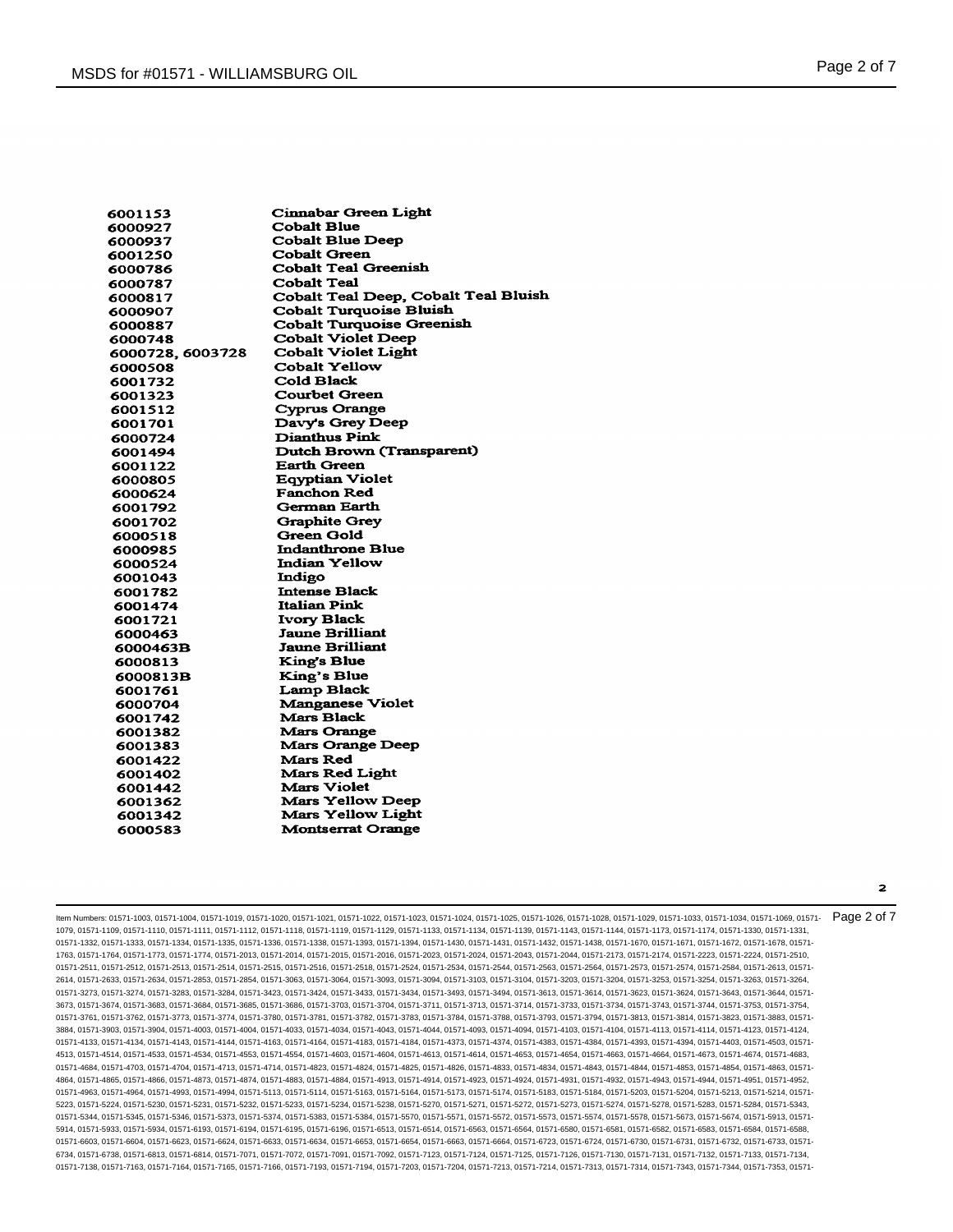| 6001153         | Cinnabar Green Light                 |
|-----------------|--------------------------------------|
| 6000927         | <b>Cobalt Blue</b>                   |
| 6000937         | <b>Cobalt Blue Deep</b>              |
| 6001250         | <b>Cobalt Green</b>                  |
| 6000786         | <b>Cobalt Teal Greenish</b>          |
| 6000787         | Cobalt Teal                          |
| 6000817         | Cobalt Teal Deep, Cobalt Teal Bluish |
| 6000907         | <b>Cobalt Turquoise Bluish</b>       |
| 6000887         | <b>Cobalt Turquoise Greenish</b>     |
| 6000748         | <b>Cobalt Violet Deep</b>            |
| 6000728.6003728 | <b>Cobalt Violet Light</b>           |
| 6000508         | <b>Cobalt Yellow</b>                 |
| 6001732         | Cold Black                           |
| 6001323         | <b>Courbet Green</b>                 |
| 6001512         | <b>Cyprus Orange</b>                 |
| 6001701         | Davy's Grey Deep                     |
| 6000724         | <b>Dianthus Pink</b>                 |
| 6001494         | Dutch Brown (Transparent)            |
| 6001122         | <b>Earth Green</b>                   |
| 6000805         | <b>Eqyptian Violet</b>               |
| 6000624         | <b>Fanchon Red</b>                   |
| 6001792         | <b>German Earth</b>                  |
| 6001702         | <b>Graphite Grey</b>                 |
| 6000518         | <b>Green Gold</b>                    |
| 6000985         | <b>Indanthrone Blue</b>              |
| 6000524         | <b>Indian Yellow</b>                 |
| 6001043         | Indigo                               |
| 6001782         | <b>Intense Black</b>                 |
| 6001474         | <b>Italian Pink</b>                  |
| 6001721         | <b>Ivory Black</b>                   |
| 6000463         | <b>Jaune Brilliant</b>               |
| 6000463B        | Jaune Brilliant                      |
| 6000813         | <b>King's Blue</b>                   |
| 6000813B        | King's Blue                          |
| 6001761         | <b>Lamp Black</b>                    |
| 6000704         | <b>Manganese Violet</b>              |
| 6001742         | <b>Mars Black</b>                    |
| 6001382         | <b>Mars Orange</b>                   |
| 6001383         | <b>Mars Orange Deep</b>              |
| 6001422         | Mars Red                             |
| 6001402         | <b>Mars Red Light</b>                |
| 6001442         | Mars Violet                          |
| 6001362         | <b>Mars Yellow Deep</b>              |
| 6001342         | Mars Yellow Light                    |
| 6000583         | <b>Montserrat Orange</b>             |
|                 |                                      |

ltem Numbers: 01571-1003, 01571-1004, 01571-1019, 01571-1020, 01571-1021, 01571-1022, 01571-1023, 01571-1024, 01571-1025, 01571-1028, 01571-1028, 01571-1023, 01571-1023, 01571-1023, 01571-1034, 01571-1039, 01571-1039, 0157 1079, 01571-1109, 01571-1110, 01571-1111, 01571-1112, 01571-1118, 01571-1119, 01571-1129, 01571-1133, 01571-1134, 01571-1139, 01571-1143, 01571-1144, 01571-1173, 01571-1174, 01571-1330, 01571-1331, 01571-1332, 01571-1333, 01571-1334, 01571-1335, 01571-1336, 01571-1338, 01571-1393, 01571-1394, 01571-1430, 01571-1431, 01571-1432, 01571-1438, 01571-1670, 01571-1671, 01571-1672, 01571-1670, 01571-1672, 01571-1678, 01571-1763, 01571-1764, 01571-1773, 01571-1774, 01571-2013, 01571-2014, 01571-2015, 01571-2016, 01571-2023, 01571-2024, 01571-2043, 01571-2044, 01571-2173, 01571-2174, 01571-2223, 01571-2224, 01571-2510, 01571-2511, 01571-2512, 01571-2513, 01571-2514, 01571-2515, 01571-2516, 01571-2518, 01571-2524, 01571-2534, 01571-2544, 01571-2563, 01571-2564, 01571-2573, 01571-2574, 01571-2584, 01571-2613, 01571- 2614, 01571-2633, 01571-2634, 01571-2853, 01571-2854, 01571-3063, 01571-3064, 01571-3093, 01571-3094, 01571-3103, 01571-3104, 01571-3203, 01571-3204, 01571-3253, 01571-3254, 01571-3263, 01571-3264, 01571-3273, 01571-3274, 01571-3283, 01571-3284, 01571-3423, 01571-3424, 01571-3433, 01571-3434, 01571-3493, 01571-3494, 01571-3613, 01571-3614, 01571-3623, 01571-3624, 01571-3643, 01571-3644, 01571- 3673, 01571-3674, 01571-3683, 01571-3684, 01571-3685, 01571-3686, 01571-3703, 01571-3704, 01571-3711, 01571-3713, 01571-3714, 01571-3733, 01571-3734, 01571-3743, 01571-3744, 01571-3753, 01571-3754, 01571-3761, 01571-3762, 01571-3773, 01571-3774, 01571-3780, 01571-3781, 01571-3782, 01571-3783, 01571-3784, 01571-3788, 01571-3793, 01571-3794, 01571-3813, 01571-3814, 01571-3823, 01571-3883, 01571- 3884, 01571-3903, 01571-3904, 01571-4003, 01571-4004, 01571-4033, 01571-4034, 01571-4043, 01571-4044, 01571-4093, 01571-4094, 01571-4103, 01571-4104, 01571-4113, 01571-4114, 01571-4123, 01571-4124, 01571-4133, 01571-4134, 01571-4143, 01571-4144, 01571-4163, 01571-4164, 01571-4183, 01571-4184, 01571-4373, 01571-4374, 01571-4383, 01571-4384, 01571-4393, 01571-4394, 01571-4403, 01571-4503, 01571- 4513, 01571-4514, 01571-4533, 01571-4534, 01571-4553, 01571-4554, 01571-4603, 01571-4604, 01571-4613, 01571-4614, 01571-4653, 01571-4654, 01571-4663, 01571-4664, 01571-4673, 01571-4674, 01571-4683, 01571-4684, 01571-4703, 01571-4704, 01571-4713, 01571-4714, 01571-4823, 01571-4824, 01571-4825, 01571-4826, 01571-4833, 01571-4834, 01571-4843, 01571-4844, 01571-4853, 01571-4854, 01571-4863, 01571- 4864, 01571-4865, 01571-4866, 01571-4873, 01571-4874, 01571-4883, 01571-4884, 01571-4913, 01571-4914, 01571-4923, 01571-4924, 01571-4931, 01571-4932, 01571-4943, 01571-4944, 01571-4951, 01571-4952, 01571-4963, 01571-4964, 01571-4993, 01571-4994, 01571-5113, 01571-5114, 01571-5163, 01571-5164, 01571-5173, 01571-5174, 01571-5183, 01571-5184, 01571-5203, 01571-5204, 01571-5213, 01571-5214, 01571- 5223, 01571-5224, 01571-5230, 01571-5231, 01571-5232, 01571-5233, 01571-5234, 01571-5238, 01571-5270, 01571-5271, 01571-5272, 01571-5273, 01571-5274, 01571-5278, 01571-5283, 01571-5284, 01571-5343, 01571-5344, 01571-5345, 01571-5346, 01571-5373, 01571-5374, 01571-5383, 01571-5384, 01571-5570, 01571-5571, 01571-5572, 01571-5573, 01571-5574, 01571-5673, 01571-5913, 01571-5913, 01571-5578, 01571-5874, 01571-5913, 01571-5 5914, 01571-5933, 01571-5934, 01571-6193, 01571-6194, 01571-6195, 01571-6196, 01571-6513, 01571-6514, 01571-6563, 01571-6564, 01571-6580, 01571-6581, 01571-6588, 01571-6588, 01571-6584, 01571-6584, 01571-6588, 01571-6588, 0 01571-6603, 01571-6604, 01571-6623, 01571-6624, 01571-6633, 01571-6634, 01571-6653, 01571-6654, 01571-6663, 01571-6664, 01571-6723, 01571-6724, 01571-6730, 01571-6732, 01571-6733, 01571-673, 01571-6732, 01571-6733, 01571-67 6734, 01571-6738, 01571-6813, 01571-6814, 01571-7071, 01571-7072, 01571-7091, 01571-7092, 01571-7123, 01571-7124, 01571-7125, 01571-7126, 01571-7130, 01571-7131, 01571-7132, 01571-7133, 01571-7134, 01571-7138, 01571-7163, 01571-7164, 01571-7165, 01571-7166, 01571-7193, 01571-7194, 01571-7203, 01571-7204, 01571-7213, 01571-7214, 01571-7313, 01571-7314, 01571-7343, 01571-7343, 01571-7343, 01571-7343, 01571-7343, 01571-7

 $\overline{\mathbf{2}}$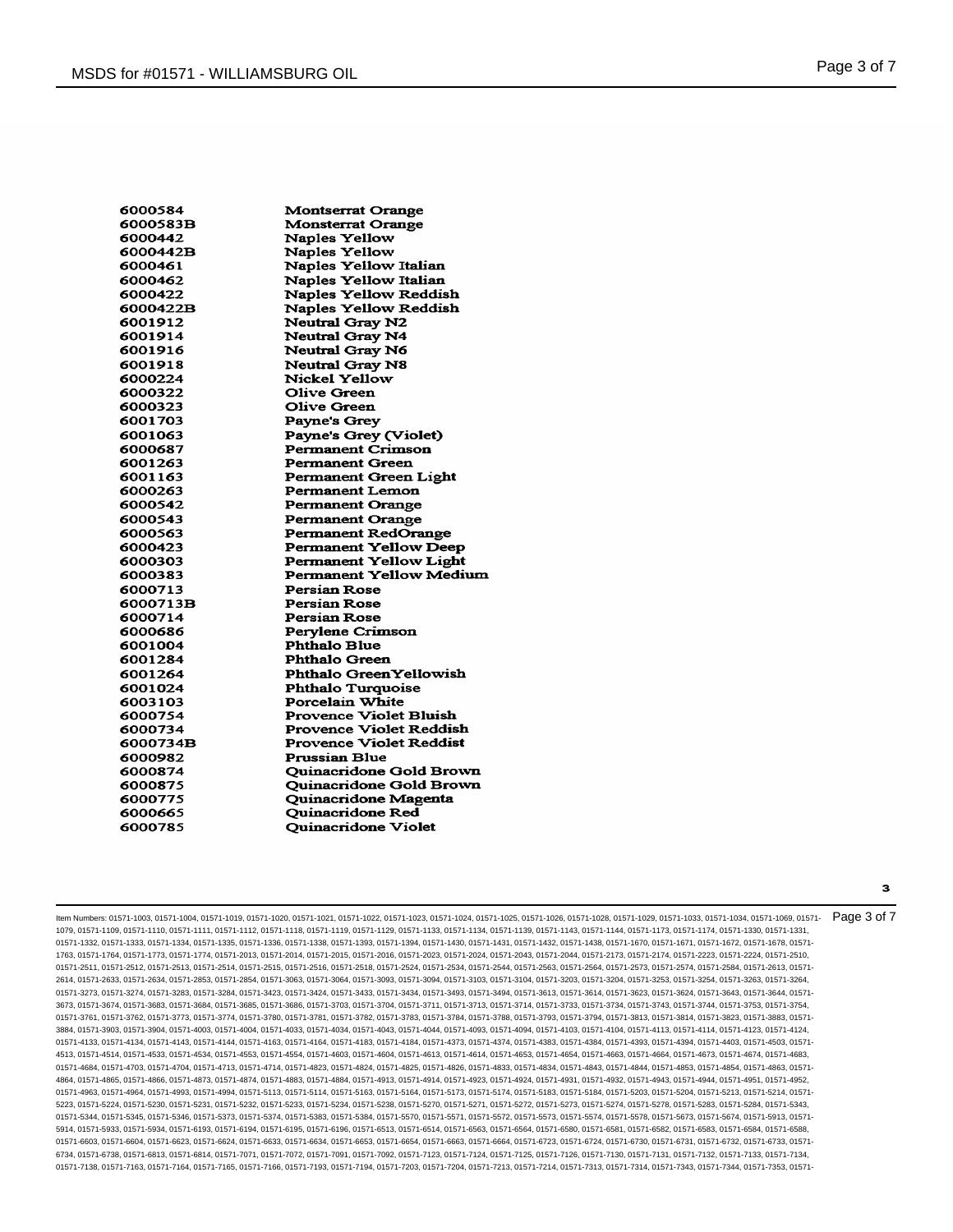| 6000584  | <b>Montserrat Orange</b>       |
|----------|--------------------------------|
| 6000583B | <b>Monsterrat Orange</b>       |
| 6000442  | <b>Naples Yellow</b>           |
| 6000442B | <b>Naples Yellow</b>           |
| 6000461  | <b>Naples Yellow Italian</b>   |
| 6000462  | <b>Naples Yellow Italian</b>   |
| 6000422  | <b>Naples Yellow Reddish</b>   |
| 6000422B | Naples Yellow Reddish          |
| 6001912  | <b>Neutral Gray N2</b>         |
| 6001914  | <b>Neutral Gray N4</b>         |
| 6001916  | <b>Neutral Gray N6</b>         |
| 6001918  | <b>Neutral Gray N8</b>         |
| 6000224  | Nickel Yellow                  |
| 6000322  | <b>Olive Green</b>             |
| 6000323  | <b>Olive Green</b>             |
| 6001703  | Payne's Grey                   |
| 6001063  | Payne's Grey (Violet)          |
| 6000687  | <b>Permanent Crimson</b>       |
| 6001263  | <b>Permanent Green</b>         |
| 6001163  | Permanent Green Light          |
| 6000263  | <b>Permanent Lemon</b>         |
| 6000542  | <b>Permanent Orange</b>        |
| 6000543  | <b>Permanent Orange</b>        |
| 6000563  | <b>Permanent RedOrange</b>     |
| 6000423  | <b>Permanent Yellow Deep</b>   |
| 6000303  | <b>Permanent Yellow Light</b>  |
| 6000383  | <b>Permanent Yellow Medium</b> |
| 6000713  | Persian Rose                   |
| 6000713B | <b>Persian Rose</b>            |
| 6000714  | <b>Persian Rose</b>            |
| 6000686  | Pervlene Crimson               |
| 6001004  | <b>Phthalo Blue</b>            |
| 6001284  | <b>Phthalo Green</b>           |
| 6001264  | Phthalo Green Yellowish        |
| 6001024  | <b>Phthalo Turquoise</b>       |
| 6003103  | Porcelain White                |
| 6000754  | <b>Provence Violet Bluish</b>  |
| 6000734  | Provence Violet Reddish        |
| 6000734B | <b>Provence Violet Reddist</b> |
| 6000982  | <b>Prussian Blue</b>           |
| 6000874  | <b>Ouinacridone Gold Brown</b> |
| 6000875  | <b>Ouinacridone Gold Brown</b> |
| 6000775  | Quinacridone Magenta           |
| 6000665  | <b>Ouinacridone Red</b>        |
| 6000785  | <b>Quinacridone Violet</b>     |
|          |                                |

ltem Numbers: 01571-1003, 01571-1004, 01571-1019, 01571-1020, 01571-1021, 01571-1022, 01571-1023, 01571-1024, 01571-1026, 01571-1028, 01571-1028, 01571-1023, 01571-1023, 01571-1023, 01571-1034, 01571-1039, 01571-1039, 0157 1079, 01571-1109, 01571-1110, 01571-1111, 01571-1112, 01571-1118, 01571-1119, 01571-1129, 01571-1133, 01571-1134, 01571-1139, 01571-1143, 01571-1144, 01571-1173, 01571-1174, 01571-1330, 01571-1331, 01571-1332, 01571-1333, 01571-1334, 01571-1335, 01571-1336, 01571-1338, 01571-1393, 01571-1393, 01571-1430, 01571-1431, 01571-1432, 01571-1432, 01571-1438, 01571-1670, 01571-1671, 01571-1672, 01571-1672, 01571-1678, 01571-1763, 01571-1764, 01571-1773, 01571-1774, 01571-2013, 01571-2014, 01571-2015, 01571-2016, 01571-2023, 01571-2024, 01571-2043, 01571-2044, 01571-2173, 01571-2174, 01571-2223, 01571-2224, 01571-2510, 01571-2511, 01571-2512, 01571-2513, 01571-2514, 01571-2515, 01571-2516, 01571-2518, 01571-2524, 01571-254, 01571-254, 01571-2564, 01571-2564, 01571-2573, 01571-2574, 01571-2584, 01571-2584, 01571-2573, 01571-2574, 01571-258 2614, 01571-2633, 01571-2634, 01571-2853, 01571-2854, 01571-3063, 01571-3064, 01571-3093, 01571-3094, 01571-3103, 01571-3104, 01571-3203, 01571-3204, 01571-3253, 01571-3254, 01571-3263, 01571-3264, 01571-3273, 01571-3274, 01571-3283, 01571-3284, 01571-3423, 01571-3424, 01571-3433, 01571-3434, 01571-3493, 01571-3494, 01571-3613, 01571-3614, 01571-3623, 01571-3624, 01571-3643, 01571-3644, 01571- 3673, 01571-3674, 01571-3683, 01571-3684, 01571-3685, 01571-3686, 01571-3703, 01571-3704, 01571-3711, 01571-3713, 01571-3714, 01571-3733, 01571-3734, 01571-3743, 01571-3744, 01571-3753, 01571-3754, 01571-3761, 01571-3762, 01571-3773, 01571-3774, 01571-3780, 01571-3781, 01571-3782, 01571-3783, 01571-3784, 01571-3788, 01571-3793, 01571-3794, 01571-3813, 01571-3814, 01571-3823, 01571-3883, 01571- 3884, 01571-3903, 01571-3904, 01571-4003, 01571-4004, 01571-4033, 01571-4034, 01571-4043, 01571-4044, 01571-4093, 01571-4094, 01571-4103, 01571-4104, 01571-4113, 01571-4114, 01571-4123, 01571-4124, 01571-4133, 01571-4134, 01571-4143, 01571-4144, 01571-4163, 01571-4164, 01571-4183, 01571-4184, 01571-4373, 01571-4374, 01571-4383, 01571-4384, 01571-4393, 01571-4394, 01571-4403, 01571-4503, 01571- 4513, 01571-4514, 01571-4533, 01571-4534, 01571-4553, 01571-4554, 01571-4603, 01571-4604, 01571-4613, 01571-4614, 01571-4653, 01571-4654, 01571-4663, 01571-4664, 01571-4673, 01571-4674, 01571-4683, 01571-4684, 01571-4703, 01571-4704, 01571-4713, 01571-4714, 01571-4823, 01571-4824, 01571-4825, 01571-4826, 01571-4833, 01571-4834, 01571-4843, 01571-4844, 01571-4853, 01571-4854, 01571-4863, 01571- 4864, 01571-4865, 01571-4866, 01571-4873, 01571-4874, 01571-4883, 01571-4884, 01571-4913, 01571-4914, 01571-4923, 01571-4924, 01571-4931, 01571-4932, 01571-4943, 01571-4944, 01571-4951, 01571-4952, 01571-4963, 01571-4964, 01571-4993, 01571-4994, 01571-5113, 01571-5114, 01571-5163, 01571-5164, 01571-5173, 01571-5174, 01571-5183, 01571-5184, 01571-5203, 01571-5204, 01571-5213, 01571-5214, 01571- 5223, 01571-5224, 01571-5230, 01571-5231, 01571-5232, 01571-5233, 01571-5234, 01571-5238, 01571-5270, 01571-5271, 01571-5272, 01571-5273, 01571-5274, 01571-5278, 01571-5283, 01571-5284, 01571-5343, 01571-5344, 01571-5345, 01571-5346, 01571-5373, 01571-5374, 01571-5383, 01571-5384, 01571-5570, 01571-5571, 01571-5572, 01571-5573, 01571-5574, 01571-5673, 01571-5913, 01571-5913, 01571-5578, 01571-5874, 01571-5913, 01571-5 5914, 01571-5933, 01571-5934, 01571-6193, 01571-6194, 01571-6195, 01571-6196, 01571-6513, 01571-6514, 01571-6563, 01571-6564, 01571-6580, 01571-6581, 01571-6588, 01571-6588, 01571-6584, 01571-6584, 01571-6588, 01571-6588, 0 01571-6603, 01571-6604, 01571-6623, 01571-6624, 01571-6633, 01571-6634, 01571-6653, 01571-6654, 01571-6663, 01571-6664, 01571-6723, 01571-6724, 01571-6730, 01571-6732, 01571-6733, 01571-673, 01571-6732, 01571-6733, 01571-67 6734, 01571-6738, 01571-6813, 01571-6814, 01571-7071, 01571-7072, 01571-7091, 01571-7092, 01571-7123, 01571-7124, 01571-7125, 01571-7126, 01571-7130, 01571-7131, 01571-7132, 01571-7133, 01571-7134, 01571-7138, 01571-7163, 01571-7164, 01571-7165, 01571-7166, 01571-7193, 01571-7194, 01571-7203, 01571-7204, 01571-7213, 01571-7214, 01571-7313, 01571-7314, 01571-7343, 01571-7343, 01571-7343, 01571-7343, 01571-7343, 01571-7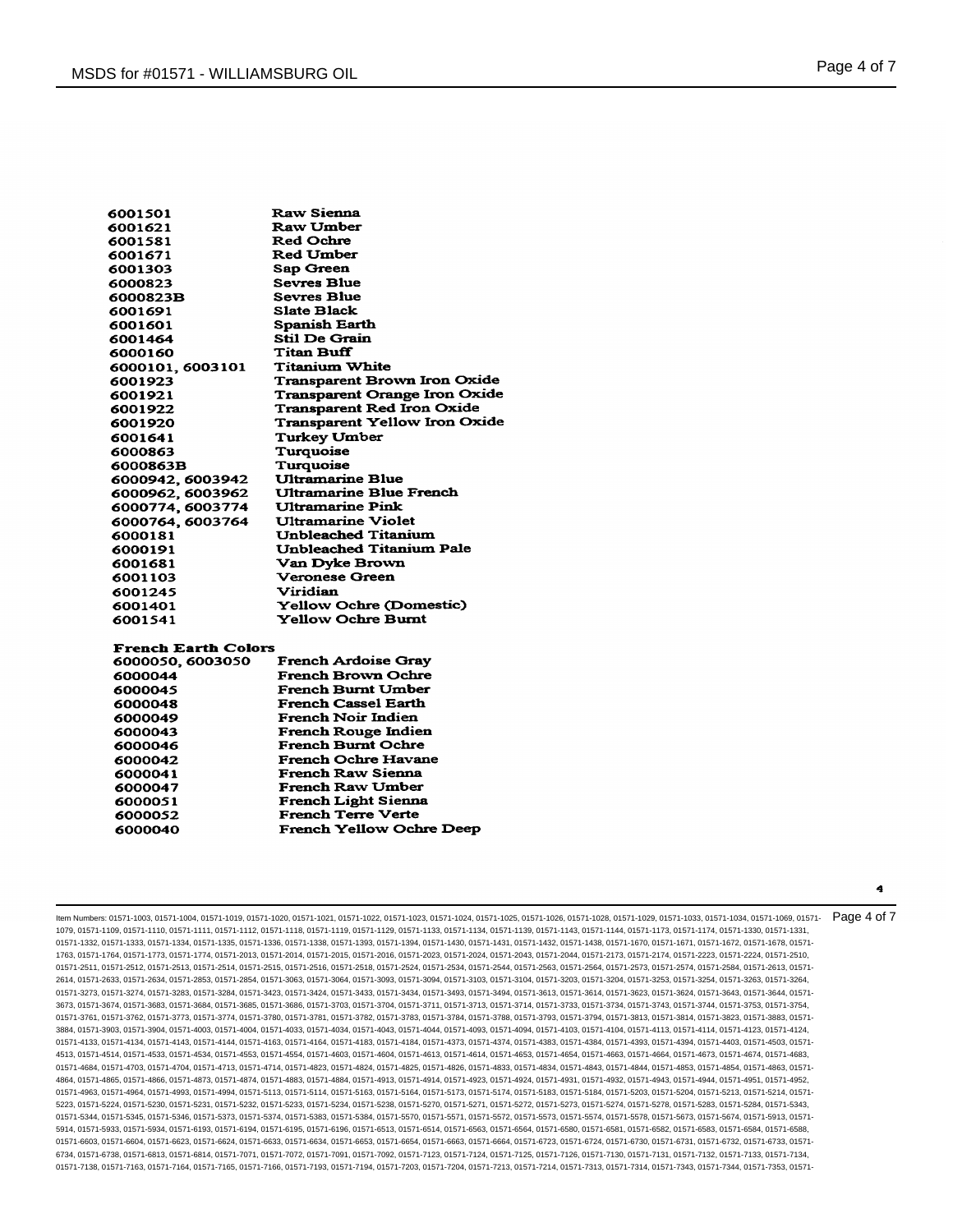| 6001501          | <b>Raw Sienna</b>                    |
|------------------|--------------------------------------|
| 6001621          | <b>Raw Umber</b>                     |
| 6001581          | <b>Red Ochre</b>                     |
| 6001671          | <b>Red Umber</b>                     |
| 6001303          | Sap Green                            |
| 6000823          | <b>Sevres Blue</b>                   |
| 6000823B         | <b>Sevres Blue</b>                   |
| 6001691          | <b>Slate Black</b>                   |
| 6001601          | Spanish Earth                        |
| 6001464          | <b>Stil De Grain</b>                 |
| 6000160          | <b>Titan Buff</b>                    |
| 6000101, 6003101 | Titanium White                       |
| 6001923          | Transparent Brown Iron Oxide         |
| 6001921          | <b>Transparent Orange Iron Oxide</b> |
| 6001922          | <b>Transparent Red Iron Oxide</b>    |
| 6001920          | <b>Transparent Yellow Iron Oxide</b> |
| 6001641          | <b>Turkey Umber</b>                  |
| 6000863          | Turquoise                            |
| 6000863B         | Turquoise                            |
| 6000942.6003942  | <b>Ultramarine Blue</b>              |
| 6000962, 6003962 | <b>Ultramarine Blue French</b>       |
| 6000774, 6003774 | <b>Ultramarine Pink</b>              |
| 6000764, 6003764 | Ultramarine Violet                   |
| 6000181          | <b>Unbleached Titanium</b>           |
| 6000191          | Unbleached Titanium Pale             |
| 6001681          | <b>Van Dyke Brown</b>                |
| 6001103          | <b>Veronese Green</b>                |
| 6001245          | Viridian                             |
| 6001401          | <b>Yellow Ochre (Domestic)</b>       |
| 6001541          | <b>Yellow Ochre Burnt</b>            |
|                  |                                      |

# **French Earth Colors**

| 6000050, 6003050 | <b>French Ardoise Gray</b>      |
|------------------|---------------------------------|
| 6000044          | <b>French Brown Ochre</b>       |
| 6000045          | French Burnt Umber              |
| 6000048          | <b>French Cassel Earth</b>      |
| 6000049          | <b>French Noir Indien</b>       |
| 6000043          | French Rouge Indien             |
| 6000046          | <b>French Burnt Ochre</b>       |
| 6000042          | <b>French Ochre Havane</b>      |
| 6000041          | <b>French Raw Sienna</b>        |
| 6000047          | <b>French Raw Umber</b>         |
| 6000051          | <b>French Light Sienna</b>      |
| 6000052          | <b>French Terre Verte</b>       |
| 6000040          | <b>French Yellow Ochre Deep</b> |
|                  |                                 |

Item Numbers: 01571-1003, 01571-1004, 01571-1019, 01571-1020, 01571-1021, 01571-1022, 01571-1023, 01571-1024, 01571-1025, 01571-1026, 01571-1028, 01571-1029, 01571-1033, 01571-1034, 01571-1069, 01571- 1079, 01571-1109, 01571-1110, 01571-1111, 01571-1112, 01571-1118, 01571-1119, 01571-1129, 01571-1133, 01571-1134, 01571-1139, 01571-1143, 01571-1144, 01571-1173, 01571-1174, 01571-1330, 01571-1331, 01571-1332, 01571-1333, 01571-1334, 01571-1335, 01571-1336, 01571-1338, 01571-1393, 01571-1393, 01571-1430, 01571-1431, 01571-1432, 01571-1432, 01571-1438, 01571-1670, 01571-1671, 01571-1672, 01571-1672, 01571-1678, 01571-1763, 01571-1764, 01571-1773, 01571-1774, 01571-2013, 01571-2014, 01571-2015, 01571-2016, 01571-2023, 01571-2024, 01571-2043, 01571-2044, 01571-2173, 01571-2174, 01571-2223, 01571-2224, 01571-2510, 01571-2511, 01571-2512, 01571-2513, 01571-2514, 01571-2515, 01571-2516, 01571-2518, 01571-2524, 01571-254, 01571-254, 01571-2564, 01571-2564, 01571-2573, 01571-2574, 01571-2584, 01571-2584, 01571-2573, 01571-2574, 01571-258 2614, 01571-2633, 01571-2634, 01571-2853, 01571-2854, 01571-3063, 01571-3064, 01571-3093, 01571-3094, 01571-3103, 01571-3104, 01571-3203, 01571-3204, 01571-3253, 01571-3254, 01571-3263, 01571-3264, 01571-3273, 01571-3274, 01571-3283, 01571-3284, 01571-3423, 01571-3424, 01571-3433, 01571-3434, 01571-3493, 01571-3494, 01571-3613, 01571-3614, 01571-3623, 01571-3624, 01571-3643, 01571-3644, 01571- 3673, 01571-3674, 01571-3683, 01571-3684, 01571-3685, 01571-3686, 01571-3703, 01571-3704, 01571-3711, 01571-3713, 01571-3714, 01571-3733, 01571-3734, 01571-3743, 01571-3744, 01571-3753, 01571-3754, 01571-3761, 01571-3762, 01571-3773, 01571-3774, 01571-3780, 01571-3781, 01571-3782, 01571-3783, 01571-3784, 01571-3788, 01571-3793, 01571-3794, 01571-3813, 01571-3814, 01571-3823, 01571-3883, 01571- 3884, 01571-3903, 01571-3904, 01571-4003, 01571-4004, 01571-4033, 01571-4034, 01571-4043, 01571-4044, 01571-4093, 01571-4094, 01571-4103, 01571-4104, 01571-4113, 01571-4114, 01571-4123, 01571-4124, 01571-4133, 01571-4134, 01571-4143, 01571-4144, 01571-4163, 01571-4164, 01571-4183, 01571-4184, 01571-4373, 01571-4374, 01571-4383, 01571-4384, 01571-4393, 01571-4394, 01571-4403, 01571-4503, 01571- 4513, 01571-4514, 01571-4533, 01571-4534, 01571-4553, 01571-4554, 01571-4603, 01571-4604, 01571-4613, 01571-4614, 01571-4653, 01571-4654, 01571-4663, 01571-4664, 01571-4673, 01571-4674, 01571-4683, 01571-4684, 01571-4703, 01571-4704, 01571-4713, 01571-4714, 01571-4823, 01571-4824, 01571-4825, 01571-4826, 01571-4833, 01571-4834, 01571-4843, 01571-4844, 01571-4853, 01571-4854, 01571-4863, 01571- 4864, 01571-4865, 01571-4866, 01571-4873, 01571-4874, 01571-4883, 01571-4884, 01571-4913, 01571-4914, 01571-4923, 01571-4924, 01571-4931, 01571-4932, 01571-4943, 01571-4944, 01571-4951, 01571-4952, 01571-4963, 01571-4964, 01571-4993, 01571-4994, 01571-5113, 01571-5114, 01571-5163, 01571-5164, 01571-5173, 01571-5174, 01571-5183, 01571-5184, 01571-5203, 01571-5204, 01571-5213, 01571-5214, 01571- 5223, 01571-5224, 01571-5230, 01571-5231, 01571-5232, 01571-5233, 01571-5234, 01571-5238, 01571-5270, 01571-5271, 01571-5272, 01571-5273, 01571-5274, 01571-5278, 01571-5283, 01571-5284, 01571-5343, 01571-5344, 01571-5345, 01571-5346, 01571-5373, 01571-5374, 01571-5383, 01571-5384, 01571-5570, 01571-5571, 01571-5572, 01571-5573, 01571-5574, 01571-5673, 01571-5913, 01571-5913, 01571-5578, 01571-5874, 01571-5913, 01571-5 5914, 01571-5933, 01571-5934, 01571-6193, 01571-6194, 01571-6195, 01571-6196, 01571-6513, 01571-6514, 01571-6563, 01571-6564, 01571-6580, 01571-6581, 01571-6588, 01571-6588, 01571-6584, 01571-6584, 01571-6588, 01571-6588, 0 01571-6603, 01571-6604, 01571-6623, 01571-6624, 01571-6633, 01571-6634, 01571-6653, 01571-6654, 01571-6663, 01571-6664, 01571-6723, 01571-6724, 01571-6730, 01571-6732, 01571-6733, 01571-673, 01571-6732, 01571-6733, 01571-67 6734, 01571-6738, 01571-6813, 01571-6814, 01571-7071, 01571-7072, 01571-7091, 01571-7092, 01571-7123, 01571-7124, 01571-7125, 01571-7126, 01571-7130, 01571-7131, 01571-7132, 01571-7133, 01571-7134, 01571-7138, 01571-7163, 01571-7164, 01571-7165, 01571-7166, 01571-7193, 01571-7194, 01571-7203, 01571-7204, 01571-7213, 01571-7214, 01571-7313, 01571-7314, 01571-7343, 01571-7343, 01571-7343, 01571-7343, 01571-7343, 01571-7 Page 4 of 7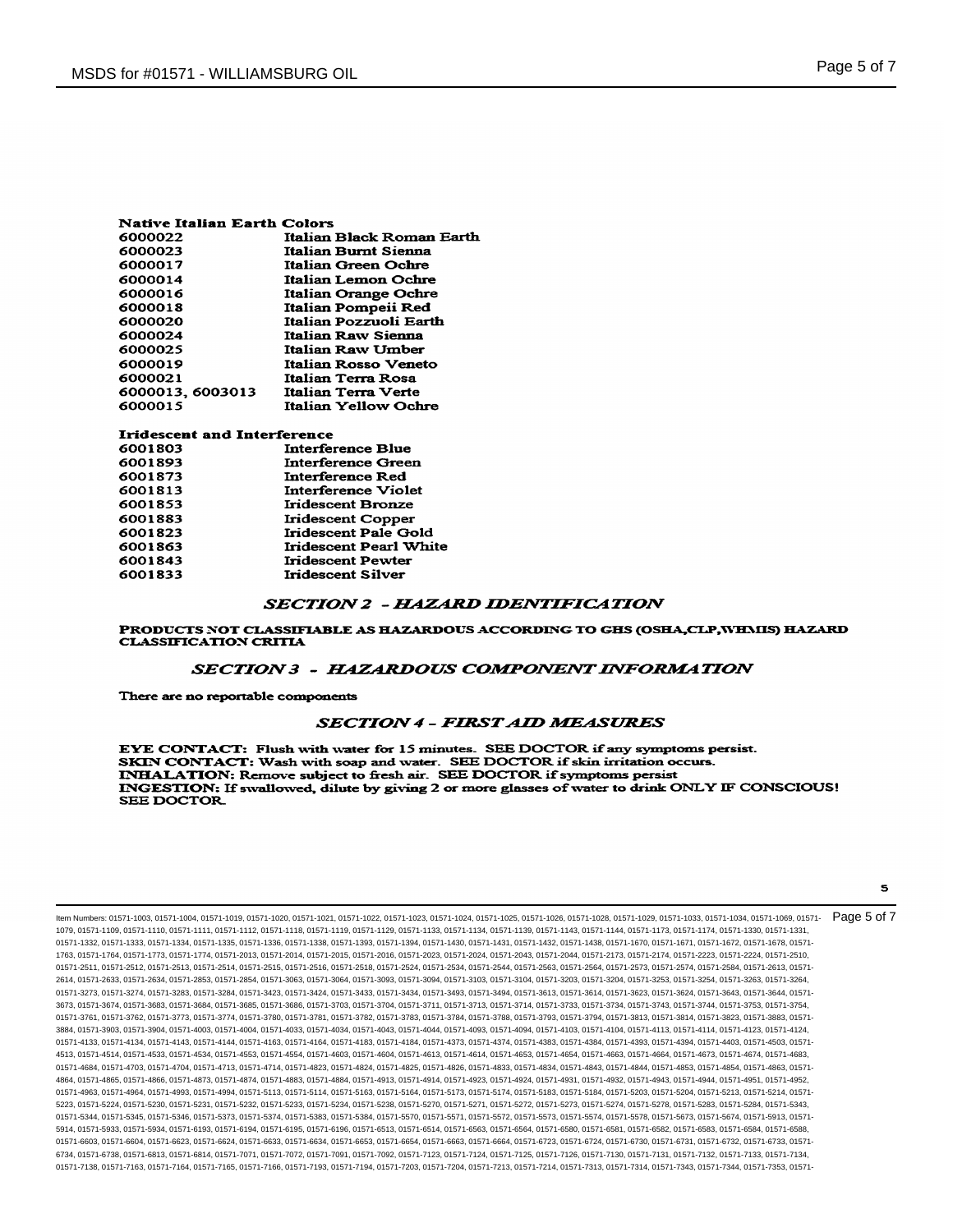| Native Italian Earth Colors |                             |  |
|-----------------------------|-----------------------------|--|
| 6000022                     | Italian Black Roman Earth   |  |
| 6000023                     | <b>Italian Burnt Sienna</b> |  |
| 6000017                     | Italian Green Ochre         |  |
| 6000014                     | Italian Lemon Ochre         |  |
| 6000016                     | Italian Orange Ochre        |  |
| 6000018                     | Italian Pompeii Red         |  |
| 6000020                     | Italian Pozzuoli Earth      |  |
| 6000024                     | Italian Raw Sienna          |  |
| 6000025                     | Italian Raw Umber           |  |
| 6000019                     | Italian Rosso Veneto        |  |
| 6000021                     | Italian Terra Rosa          |  |
| 6000013, 6003013            | Italian Terra Verte         |  |
| 6000015                     | <b>Italian Yellow Ochre</b> |  |

| Iridescent and Interference |                               |  |
|-----------------------------|-------------------------------|--|
| 6001803                     | <b>Interference Blue</b>      |  |
| 6001893                     | <b>Interference Green</b>     |  |
| 6001873                     | <b>Interference Red</b>       |  |
| 6001813                     | Interference Violet           |  |
| 6001853                     | Iridescent Bronze             |  |
| 6001883                     | Iridescent Copper             |  |
| 6001823                     | Iridescent Pale Gold          |  |
| 6001863                     | <b>Iridescent Pearl White</b> |  |
| 6001843                     | <b>Iridescent Pewter</b>      |  |
| 6001833                     | Iridescent Silver             |  |
|                             |                               |  |

## **SECTION 2 - HAZARD IDENTIFICATION**

PRODUCTS NOT CLASSIFIABLE AS HAZARDOUS ACCORDING TO GHS (OSHA,CLP,WHMIS) HAZARD **CLASSIFICATION CRITIA** 

#### **SECTION 3 - HAZARDOUS COMPONENT INFORMATION**

There are no reportable components

## **SECTION 4 - FIRST AID MEASURES**

EYE CONTACT: Flush with water for 15 minutes. SEE DOCTOR if any symptoms persist. SKIN CONTACT: Wash with soap and water. SEE DOCTOR if skin irritation occurs INHALATION: Remove subject to fresh air. SEE DOCTOR if symptoms persist INGESTION: If swallowed, dilute by giving 2 or more glasses of water to drink ONLY IF CONSCIOUS! SEE DOCTOR

Item Numbers: 01571-1003, 01571-1004, 01571-1019, 01571-1020, 01571-1021, 01571-1022, 01571-1023, 01571-1024, 01571-1025, 01571-1026, 01571-1028, 01571-1029, 01571-1033, 01571-1034, 01571-1069, 01571- 1079, 01571-1109, 01571-1110, 01571-1111, 01571-1112, 01571-1118, 01571-1119, 01571-1129, 01571-1133, 01571-1134, 01571-1139, 01571-1143, 01571-1144, 01571-1173, 01571-1174, 01571-1330, 01571-1331, 01571-1332, 01571-1333, 01571-1334, 01571-1335, 01571-1336, 01571-1338, 01571-1393, 01571-1394, 01571-1430, 01571-1431, 01571-1432, 01571-1438, 01571-1670, 01571-1671, 01571-1672, 01571-1670, 01571-1672, 01571-1672, 01571-1 1763, 01571-1764, 01571-1773, 01571-1774, 01571-2013, 01571-2014, 01571-2015, 01571-2016, 01571-2023, 01571-2024, 01571-2043, 01571-2044, 01571-2173, 01571-2174, 01571-2223, 01571-2224, 01571-2510, 01571-2511, 01571-2512, 01571-2513, 01571-2514, 01571-2515, 01571-2516, 01571-2518, 01571-2524, 01571-2534, 01571-254, 01571-2564, 01571-2564, 01571-2573, 01571-2574, 01571-2584, 01571-2584, 01571-2584, 01571-2584, 01571-25 2614, 01571-2633, 01571-2634, 01571-2853, 01571-2854, 01571-3063, 01571-3064, 01571-3093, 01571-3094, 01571-3103, 01571-3104, 01571-3203, 01571-3204, 01571-3253, 01571-3254, 01571-3263, 01571-3264, 01571-3273, 01571-3274, 01571-3283, 01571-3284, 01571-3423, 01571-3424, 01571-3433, 01571-3434, 01571-3493, 01571-3494, 01571-3613, 01571-3614, 01571-3623, 01571-3624, 01571-3643, 01571-3644, 01571- 3673, 01571-3674, 01571-3683, 01571-3684, 01571-3685, 01571-3686, 01571-3703, 01571-3704, 01571-3711, 01571-3713, 01571-3714, 01571-3733, 01571-3734, 01571-3743, 01571-3744, 01571-3753, 01571-3754, 01571-3761, 01571-3762, 01571-3773, 01571-3774, 01571-3780, 01571-3781, 01571-3782, 01571-3783, 01571-3784, 01571-3788, 01571-3793, 01571-3794, 01571-3813, 01571-3814, 01571-3823, 01571-3883, 01571- 3884, 01571-3903, 01571-3904, 01571-4003, 01571-4004, 01571-4033, 01571-4034, 01571-4043, 01571-4044, 01571-4093, 01571-4094, 01571-4103, 01571-4104, 01571-4113, 01571-4114, 01571-4123, 01571-4124, 01571-4133, 01571-4134, 01571-4143, 01571-4144, 01571-4163, 01571-4164, 01571-4183, 01571-4184, 01571-4373, 01571-4374, 01571-4383, 01571-4384, 01571-4393, 01571-4394, 01571-4403, 01571-4503, 01571- 4513, 01571-4514, 01571-4533, 01571-4534, 01571-4553, 01571-4554, 01571-4603, 01571-4604, 01571-4614, 01571-4653, 01571-4654, 01571-4653, 01571-4664, 01571-4664, 01571-4664, 01571-4664, 01571-4664, 01571-4674, 01571-4683, 0 01571-4684, 01571-4703, 01571-4704, 01571-4713, 01571-4714, 01571-4823, 01571-4824, 01571-4825, 01571-4826, 01571-4833, 01571-4834, 01571-4843, 01571-4844, 01571-4853, 01571-4854, 01571-4863, 01571- 4864, 01571-4865, 01571-4866, 01571-4873, 01571-4874, 01571-4883, 01571-4884, 01571-4913, 01571-4914, 01571-4923, 01571-4924, 01571-4931, 01571-4932, 01571-4943, 01571-4944, 01571-4951, 01571-4952, 01571-4963, 01571-4964, 01571-4993, 01571-4994, 01571-5113, 01571-5114, 01571-5163, 01571-5164, 01571-5173, 01571-5174, 01571-5183, 01571-5184, 01571-5203, 01571-5204, 01571-5213, 01571-5214, 01571- 5223, 01571-5224, 01571-5230, 01571-5231, 01571-5232, 01571-5233, 01571-5234, 01571-5238, 01571-5270, 01571-5271, 01571-5272, 01571-5273, 01571-5274, 01571-5278, 01571-5283, 01571-5284, 01571-5343, 01571-5344, 01571-5345, 01571-5346, 01571-5373, 01571-5374, 01571-5383, 01571-5384, 01571-5570, 01571-5571, 01571-5572, 01571-5573, 01571-5574, 01571-5578, 01571-5673, 01571-5674, 01571-5913, 01571- 5914, 01571-5933, 01571-5934, 01571-6193, 01571-6194, 01571-6195, 01571-6196, 01571-6513, 01571-6514, 01571-6563, 01571-6564, 01571-6580, 01571-6581, 01571-6582, 01571-6583, 01571-6584, 01571-6588, 01571-6603, 01571-6604, 01571-6623, 01571-6624, 01571-6633, 01571-6653, 01571-6653, 01571-6663, 01571-6663, 01571-6733, 01571-6724, 01571-6730, 01571-6730, 01571-6732, 01571-6732, 01571-6732, 01571-6732, 01571-6732, 01571-6 6734, 01571-6738, 01571-6813, 01571-6814, 01571-7071, 01571-7072, 01571-7091, 01571-7092, 01571-7123, 01571-7124, 01571-7125, 01571-7126, 01571-7130, 01571-7131, 01571-7132, 01571-7133, 01571-7134, 01571-7138, 01571-7163, 01571-7164, 01571-7165, 01571-7166, 01571-7193, 01571-7194, 01571-7203, 01571-7204, 01571-7214, 01571-7314, 01571-7313, 01571-7314, 01571-7343, 01571-7343, 01571-7344, 01571-7344, 01571-7343, 01571-7 Page 5 of 7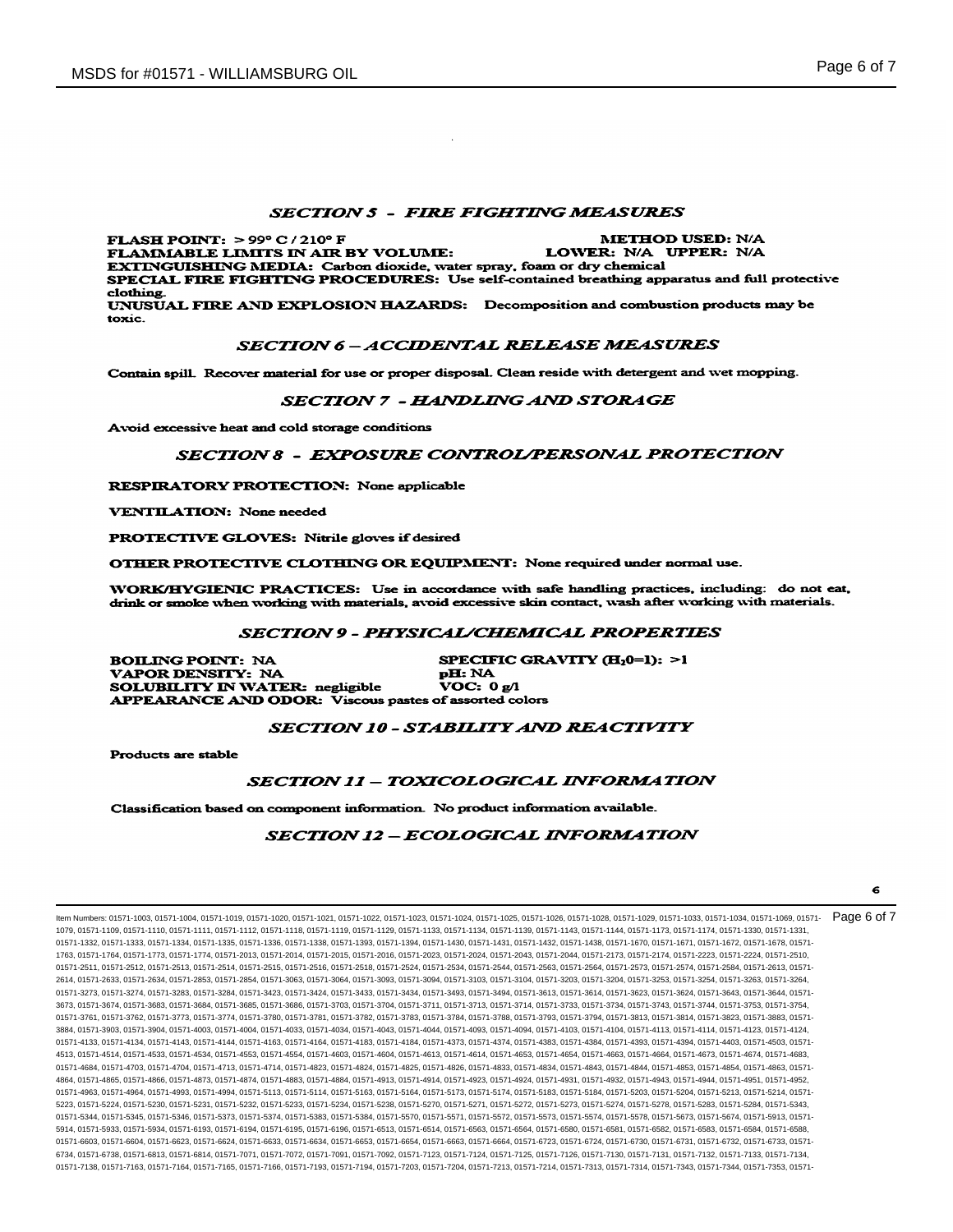## **SECTION 5 - FIRE FIGHTING MEASURES**

FLASH POINT:  $>99^{\circ}$  C / 210° F **METHOD USED: N/A** FLAMMABLE LIMITS IN AIR BY VOLUME: LOWER: N/A UPPER: N/A EXTINGUISHING MEDIA: Carbon dioxide, water spray, foam or dry chemical SPECIAL FIRE FIGHTING PROCEDURES: Use self-contained breathing apparatus and full protective clothing. UNUSUAL FIRE AND EXPLOSION HAZARDS: Decomposition and combustion products may be toxic.

#### **SECTION 6-ACCIDENTAL RELEASE MEASURES**

Contain spill. Recover material for use or proper disposal. Clean reside with detergent and wet mopping.

## SECTION 7 - HANDLING AND STORAGE

Avoid excessive heat and cold storage conditions

## **SECTION 8 - EXPOSURE CONTROL/PERSONAL PROTECTION**

**RESPIRATORY PROTECTION: None applicable** 

**VENTILATION:** None needed

PROTECTIVE GLOVES: Nitrile gloves if desired

OTHER PROTECTIVE CLOTHING OR EQUIPMENT: None required under normal use.

WORK/HYGIENIC PRACTICES: Use in accordance with safe handling practices, including: do not eat, drink or smoke when working with materials, avoid excessive skin contact, wash after working with materials.

# **SECTION 9 - PHYSICAL/CHEMICAL PROPERTIES**

SPECIFIC GRAVITY (H<sub>2</sub>0=1): >1 **BOILING POINT: NA** VAPOR DENSITY: NA pH: NA SOLUBILITY IN WATER: negligible **VOC:** 0 g/l APPEARANCE AND ODOR: Viscous pastes of assorted colors

## SECTION 10 - STABILITY AND REACTIVITY

Products are stable

#### SECTION 11 - TOXICOLOGICAL INFORMATION

Classification based on component information. No product information available.

#### **SECTION 12 - ECOLOGICAL INFORMATION**

Item Numbers: 01571-1003, 01571-1004, 01571-1019, 01571-1020, 01571-1021, 01571-1022, 01571-1023, 01571-1024, 01571-1025, 01571-1026, 01571-1028, 01571-1029, 01571-1033, 01571-1034, 01571-1069, 01571- 1079, 01571-1109, 01571-1110, 01571-1111, 01571-1112, 01571-1118, 01571-1119, 01571-1129, 01571-1133, 01571-1134, 01571-1139, 01571-1143, 01571-1144, 01571-1173, 01571-1174, 01571-1330, 01571-1331, 01571-1332, 01571-1333, 01571-1334, 01571-1335, 01571-1336, 01571-1338, 01571-1393, 01571-1394, 01571-1430, 01571-1431, 01571-1432, 01571-1438, 01571-1670, 01571-1671, 01571-1672, 01571-1670, 01571-1672, 01571-1672, 01571-1 1763, 01571-1764, 01571-1773, 01571-1774, 01571-2013, 01571-2014, 01571-2015, 01571-2016, 01571-2023, 01571-2024, 01571-2043, 01571-2044, 01571-2173, 01571-2174, 01571-2223, 01571-2224, 01571-2510, 01571-2511, 01571-2512, 01571-2513, 01571-2514, 01571-2515, 01571-2516, 01571-2518, 01571-2524, 01571-2534, 01571-254, 01571-2564, 01571-2564, 01571-2573, 01571-2574, 01571-2584, 01571-2584, 01571-2584, 01571-2613, 01571-25 2614, 01571-2633, 01571-2634, 01571-2853, 01571-2854, 01571-3063, 01571-3064, 01571-3093, 01571-3094, 01571-3103, 01571-3104, 01571-3203, 01571-3204, 01571-3253, 01571-3254, 01571-3263, 01571-3264, 01571-3273, 01571-3274, 01571-3283, 01571-3284, 01571-3423, 01571-3424, 01571-3433, 01571-3434, 01571-3493, 01571-3494, 01571-3613, 01571-3614, 01571-3623, 01571-3624, 01571-3643, 01571-3644, 01571- 3673, 01571-3674, 01571-3683, 01571-3684, 01571-3685, 01571-3686, 01571-3703, 01571-3704, 01571-3711, 01571-3713, 01571-3714, 01571-3733, 01571-3734, 01571-3743, 01571-3744, 01571-3753, 01571-3754, 01571-3761, 01571-3762, 01571-3773, 01571-3774, 01571-3780, 01571-3781, 01571-3782, 01571-3783, 01571-3784, 01571-3788, 01571-3793, 01571-3794, 01571-3813, 01571-3814, 01571-3823, 01571-3883, 01571- 3884, 01571-3903, 01571-3904, 01571-4003, 01571-4004, 01571-4033, 01571-4034, 01571-4043, 01571-4044, 01571-4093, 01571-4094, 01571-4103, 01571-4104, 01571-4113, 01571-4114, 01571-4123, 01571-4124, 01571-4133, 01571-4134, 01571-4143, 01571-4144, 01571-4163, 01571-4164, 01571-4183, 01571-4184, 01571-4373, 01571-4374, 01571-4383, 01571-4384, 01571-4393, 01571-4394, 01571-4403, 01571-4503, 01571- 4513, 01571-4514, 01571-4533, 01571-4534, 01571-4553, 01571-4554, 01571-4603, 01571-4604, 01571-4614, 01571-4613, 01571-4653, 01571-4654, 01571-4653, 01571-4664, 01571-4664, 01571-4673, 01571-4683, 01571-4684, 01571-4683, 0 01571-4684, 01571-4703, 01571-4704, 01571-4713, 01571-4714, 01571-4823, 01571-4824, 01571-4825, 01571-4826, 01571-4833, 01571-4834, 01571-4843, 01571-4844, 01571-4853, 01571-4854, 01571-4863, 01571- 4864, 01571-4865, 01571-4866, 01571-4873, 01571-4874, 01571-4883, 01571-4884, 01571-4913, 01571-4914, 01571-4923, 01571-4924, 01571-4931, 01571-4932, 01571-4943, 01571-4944, 01571-4951, 01571-4952, 01571-4963, 01571-4964, 01571-4993, 01571-4994, 01571-5113, 01571-5114, 01571-5163, 01571-5164, 01571-5173, 01571-5174, 01571-5183, 01571-5184, 01571-5203, 01571-5204, 01571-5213, 01571-5214, 01571- 5223, 01571-5224, 01571-5230, 01571-5231, 01571-5232, 01571-5233, 01571-5234, 01571-5238, 01571-5270, 01571-5271, 01571-5272, 01571-5273, 01571-5274, 01571-5278, 01571-5283, 01571-5284, 01571-5343, 01571-5344, 01571-5345, 01571-5346, 01571-5373, 01571-5374, 01571-5383, 01571-5384, 01571-5570, 01571-5571, 01571-5572, 01571-5573, 01571-5574, 01571-5578, 01571-5673, 01571-5674, 01571-5913, 01571- 5914, 01571-5933, 01571-5934, 01571-6193, 01571-6194, 01571-6195, 01571-6196, 01571-6513, 01571-6514, 01571-6563, 01571-6564, 01571-6580, 01571-6581, 01571-6582, 01571-6583, 01571-6584, 01571-6588, 01571-6603, 01571-6604, 01571-6623, 01571-6624, 01571-6633, 01571-6653, 01571-6653, 01571-6663, 01571-6663, 01571-6733, 01571-6724, 01571-6730, 01571-6730, 01571-6732, 01571-6732, 01571-6732, 01571-6732, 01571-6732, 01571-6 6734, 01571-6738, 01571-6813, 01571-6814, 01571-7071, 01571-7072, 01571-7091, 01571-7092, 01571-7123, 01571-7124, 01571-7125, 01571-7126, 01571-7130, 01571-7131, 01571-7132, 01571-7133, 01571-7134, 01571-7138, 01571-7163, 01571-7164, 01571-7165, 01571-7166, 01571-7193, 01571-7194, 01571-7203, 01571-7204, 01571-7213, 01571-7214, 01571-7313, 01571-7313, 01571-7353, 01571-7353, 01571-731 Page 6 of 7